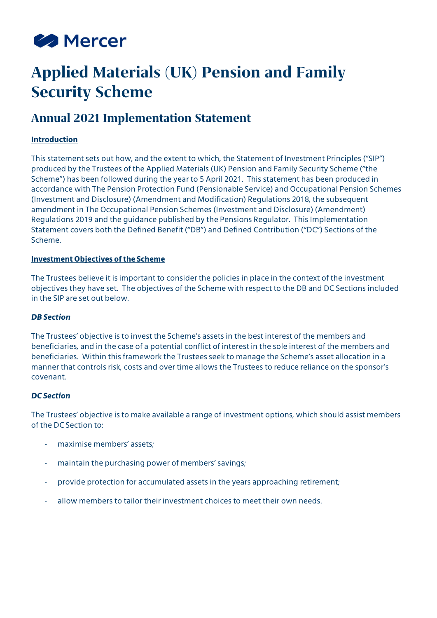

# **Applied Materials (UK) Pension and Family Security Scheme**

# **Annual 2021 Implementation Statement**

## **Introduction**

This statement sets out how, and the extent to which, the Statement of Investment Principles ("SIP") produced by the Trustees of the Applied Materials (UK) Pension and Family Security Scheme ("the Scheme") has been followed during the year to 5 April 2021. This statement has been produced in accordance with The Pension Protection Fund (Pensionable Service) and Occupational Pension Schemes (Investment and Disclosure) (Amendment and Modification) Regulations 2018, the subsequent amendment in The Occupational Pension Schemes (Investment and Disclosure) (Amendment) Regulations 2019 and the guidance published by the Pensions Regulator. This Implementation Statement covers both the Defined Benefit ("DB") and Defined Contribution ("DC") Sections of the Scheme.

#### **Investment Objectives of the Scheme**

The Trustees believe it is important to consider the policies in place in the context of the investment objectives they have set. The objectives of the Scheme with respect to the DB and DC Sections included in the SIP are set out below.

#### *DB Section*

The Trustees' objective is to invest the Scheme's assets in the best interest of the members and beneficiaries, and in the case of a potential conflict of interest in the sole interest of the members and beneficiaries. Within this framework the Trustees seek to manage the Scheme's asset allocation in a manner that controls risk, costs and over time allows the Trustees to reduce reliance on the sponsor's covenant.

#### *DC Section*

The Trustees' objective is to make available a range of investment options, which should assist members of the DC Section to:

- maximise members' assets;
- maintain the purchasing power of members' savings;
- provide protection for accumulated assets in the years approaching retirement;
- allow members to tailor their investment choices to meet their own needs.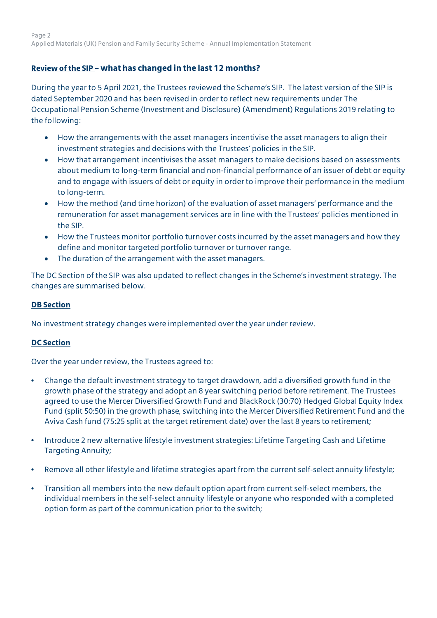# **Review of the SIP – what has changed in the last 12 months?**

During the year to 5 April 2021, the Trustees reviewed the Scheme's SIP. The latest version of the SIP is dated September 2020 and has been revised in order to reflect new requirements under The Occupational Pension Scheme (Investment and Disclosure) (Amendment) Regulations 2019 relating to the following:

- How the arrangements with the asset managers incentivise the asset managers to align their investment strategies and decisions with the Trustees' policies in the SIP.
- How that arrangement incentivises the asset managers to make decisions based on assessments about medium to long-term financial and non-financial performance of an issuer of debt or equity and to engage with issuers of debt or equity in order to improve their performance in the medium to long-term.
- How the method (and time horizon) of the evaluation of asset managers' performance and the remuneration for asset management services are in line with the Trustees' policies mentioned in the SIP.
- How the Trustees monitor portfolio turnover costs incurred by the asset managers and how they define and monitor targeted portfolio turnover or turnover range.
- The duration of the arrangement with the asset managers.

The DC Section of the SIP was also updated to reflect changes in the Scheme's investment strategy. The changes are summarised below.

#### **DB Section**

No investment strategy changes were implemented over the year under review.

#### **DC Section**

Over the year under review, the Trustees agreed to:

- Change the default investment strategy to target drawdown, add a diversified growth fund in the growth phase of the strategy and adopt an 8 year switching period before retirement. The Trustees agreed to use the Mercer Diversified Growth Fund and BlackRock (30:70) Hedged Global Equity Index Fund (split 50:50) in the growth phase, switching into the Mercer Diversified Retirement Fund and the Aviva Cash fund (75:25 split at the target retirement date) over the last 8 years to retirement;
- Introduce 2 new alternative lifestyle investment strategies: Lifetime Targeting Cash and Lifetime Targeting Annuity;
- Remove all other lifestyle and lifetime strategies apart from the current self-select annuity lifestyle;
- Transition all members into the new default option apart from current self-select members, the individual members in the self-select annuity lifestyle or anyone who responded with a completed option form as part of the communication prior to the switch;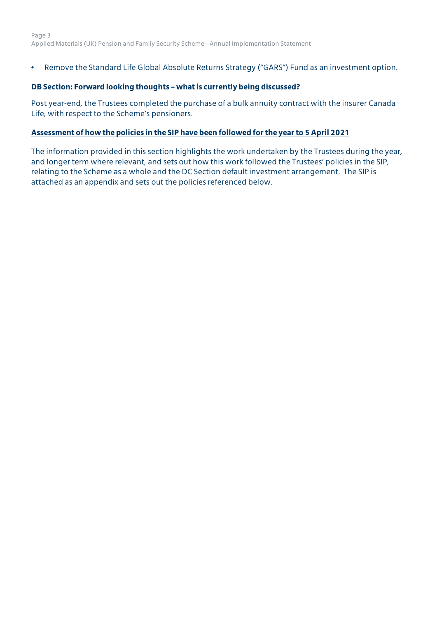• Remove the Standard Life Global Absolute Returns Strategy ("GARS") Fund as an investment option.

#### **DB Section: Forward looking thoughts – what is currently being discussed?**

Post year-end, the Trustees completed the purchase of a bulk annuity contract with the insurer Canada Life, with respect to the Scheme's pensioners.

#### **Assessment of how the policies in the SIP have been followed for the year to 5 April 2021**

The information provided in this section highlights the work undertaken by the Trustees during the year, and longer term where relevant, and sets out how this work followed the Trustees' policies in the SIP, relating to the Scheme as a whole and the DC Section default investment arrangement. The SIP is attached as an appendix and sets out the policies referenced below.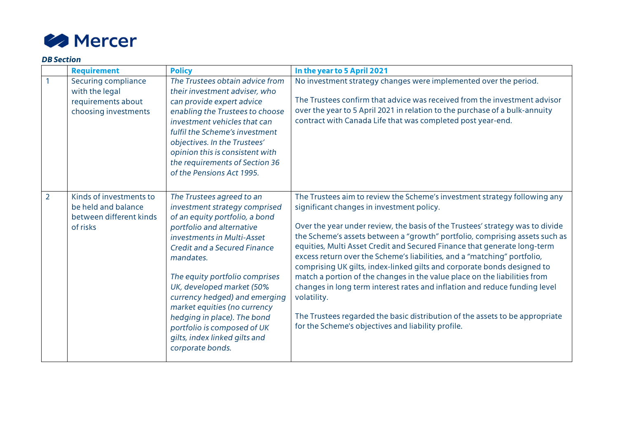

#### *DB Section*

|                | <b>Requirement</b>                                                                    | <b>Policy</b>                                                                                                                                                                                                                                                                                                                                                                                                                                                  | In the year to 5 April 2021                                                                                                                                                                                                                                                                                                                                                                                                                                                                                                                                                                                                                                                                                                                                                                                                               |
|----------------|---------------------------------------------------------------------------------------|----------------------------------------------------------------------------------------------------------------------------------------------------------------------------------------------------------------------------------------------------------------------------------------------------------------------------------------------------------------------------------------------------------------------------------------------------------------|-------------------------------------------------------------------------------------------------------------------------------------------------------------------------------------------------------------------------------------------------------------------------------------------------------------------------------------------------------------------------------------------------------------------------------------------------------------------------------------------------------------------------------------------------------------------------------------------------------------------------------------------------------------------------------------------------------------------------------------------------------------------------------------------------------------------------------------------|
|                | Securing compliance<br>with the legal<br>requirements about<br>choosing investments   | The Trustees obtain advice from<br>their investment adviser, who<br>can provide expert advice<br>enabling the Trustees to choose<br>investment vehicles that can<br>fulfil the Scheme's investment<br>objectives. In the Trustees'<br>opinion this is consistent with<br>the requirements of Section 36<br>of the Pensions Act 1995.                                                                                                                           | No investment strategy changes were implemented over the period.<br>The Trustees confirm that advice was received from the investment advisor<br>over the year to 5 April 2021 in relation to the purchase of a bulk-annuity<br>contract with Canada Life that was completed post year-end.                                                                                                                                                                                                                                                                                                                                                                                                                                                                                                                                               |
| $\overline{2}$ | Kinds of investments to<br>be held and balance<br>between different kinds<br>of risks | The Trustees agreed to an<br>investment strategy comprised<br>of an equity portfolio, a bond<br>portfolio and alternative<br>investments in Multi-Asset<br><b>Credit and a Secured Finance</b><br>mandates.<br>The equity portfolio comprises<br>UK, developed market (50%<br>currency hedged) and emerging<br>market equities (no currency<br>hedging in place). The bond<br>portfolio is composed of UK<br>gilts, index linked gilts and<br>corporate bonds. | The Trustees aim to review the Scheme's investment strategy following any<br>significant changes in investment policy.<br>Over the year under review, the basis of the Trustees' strategy was to divide<br>the Scheme's assets between a "growth" portfolio, comprising assets such as<br>equities, Multi Asset Credit and Secured Finance that generate long-term<br>excess return over the Scheme's liabilities, and a "matching" portfolio,<br>comprising UK gilts, index-linked gilts and corporate bonds designed to<br>match a portion of the changes in the value place on the liabilities from<br>changes in long term interest rates and inflation and reduce funding level<br>volatility.<br>The Trustees regarded the basic distribution of the assets to be appropriate<br>for the Scheme's objectives and liability profile. |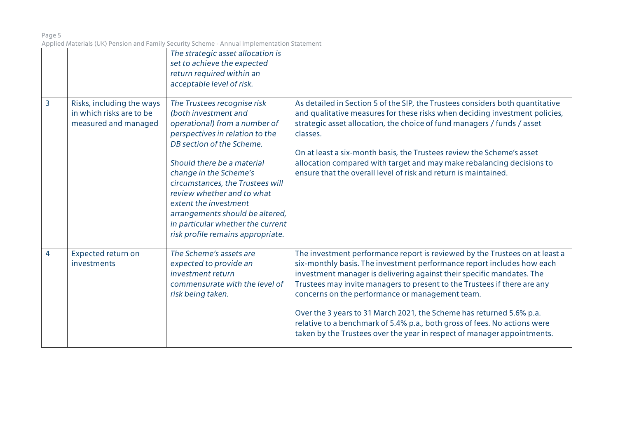|                |                                                                               | The strategic asset allocation is<br>set to achieve the expected<br>return required within an<br>acceptable level of risk.                                                                                                                                                                                                                                                                                           |                                                                                                                                                                                                                                                                                                                                                                                                                                                                                                                                                                                               |
|----------------|-------------------------------------------------------------------------------|----------------------------------------------------------------------------------------------------------------------------------------------------------------------------------------------------------------------------------------------------------------------------------------------------------------------------------------------------------------------------------------------------------------------|-----------------------------------------------------------------------------------------------------------------------------------------------------------------------------------------------------------------------------------------------------------------------------------------------------------------------------------------------------------------------------------------------------------------------------------------------------------------------------------------------------------------------------------------------------------------------------------------------|
| $\overline{3}$ | Risks, including the ways<br>in which risks are to be<br>measured and managed | The Trustees recognise risk<br>(both investment and<br>operational) from a number of<br>perspectives in relation to the<br>DB section of the Scheme.<br>Should there be a material<br>change in the Scheme's<br>circumstances, the Trustees will<br>review whether and to what<br>extent the investment<br>arrangements should be altered,<br>in particular whether the current<br>risk profile remains appropriate. | As detailed in Section 5 of the SIP, the Trustees considers both quantitative<br>and qualitative measures for these risks when deciding investment policies,<br>strategic asset allocation, the choice of fund managers / funds / asset<br>classes.<br>On at least a six-month basis, the Trustees review the Scheme's asset<br>allocation compared with target and may make rebalancing decisions to<br>ensure that the overall level of risk and return is maintained.                                                                                                                      |
| 4              | Expected return on<br>investments                                             | The Scheme's assets are<br>expected to provide an<br>investment return<br>commensurate with the level of<br>risk being taken.                                                                                                                                                                                                                                                                                        | The investment performance report is reviewed by the Trustees on at least a<br>six-monthly basis. The investment performance report includes how each<br>investment manager is delivering against their specific mandates. The<br>Trustees may invite managers to present to the Trustees if there are any<br>concerns on the performance or management team.<br>Over the 3 years to 31 March 2021, the Scheme has returned 5.6% p.a.<br>relative to a benchmark of 5.4% p.a., both gross of fees. No actions were<br>taken by the Trustees over the year in respect of manager appointments. |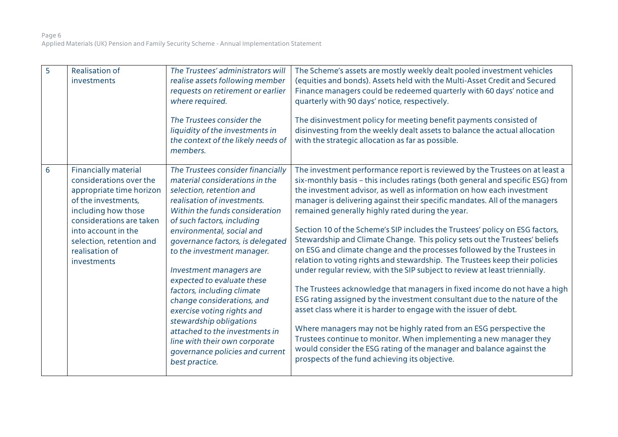| $\overline{5}$ | <b>Realisation of</b><br>investments                                                                                                                                                                                                             | The Trustees' administrators will<br>realise assets following member<br>requests on retirement or earlier<br>where required.<br>The Trustees consider the<br>liquidity of the investments in<br>the context of the likely needs of<br>members.                                                                                                                                                                                                                                                                                                                                                      | The Scheme's assets are mostly weekly dealt pooled investment vehicles<br>(equities and bonds). Assets held with the Multi-Asset Credit and Secured<br>Finance managers could be redeemed quarterly with 60 days' notice and<br>quarterly with 90 days' notice, respectively.<br>The disinvestment policy for meeting benefit payments consisted of<br>disinvesting from the weekly dealt assets to balance the actual allocation<br>with the strategic allocation as far as possible.                                                                                                                                                                                                                                                                                                                                                                                                                                                                                                                                                                                                                                                                                                                                                                                              |
|----------------|--------------------------------------------------------------------------------------------------------------------------------------------------------------------------------------------------------------------------------------------------|-----------------------------------------------------------------------------------------------------------------------------------------------------------------------------------------------------------------------------------------------------------------------------------------------------------------------------------------------------------------------------------------------------------------------------------------------------------------------------------------------------------------------------------------------------------------------------------------------------|-------------------------------------------------------------------------------------------------------------------------------------------------------------------------------------------------------------------------------------------------------------------------------------------------------------------------------------------------------------------------------------------------------------------------------------------------------------------------------------------------------------------------------------------------------------------------------------------------------------------------------------------------------------------------------------------------------------------------------------------------------------------------------------------------------------------------------------------------------------------------------------------------------------------------------------------------------------------------------------------------------------------------------------------------------------------------------------------------------------------------------------------------------------------------------------------------------------------------------------------------------------------------------------|
| 6              | <b>Financially material</b><br>considerations over the<br>appropriate time horizon<br>of the investments,<br>including how those<br>considerations are taken<br>into account in the<br>selection, retention and<br>realisation of<br>investments | The Trustees consider financially<br>material considerations in the<br>selection, retention and<br>realisation of investments.<br>Within the funds consideration<br>of such factors, including<br>environmental, social and<br>governance factors, is delegated<br>to the investment manager.<br>Investment managers are<br>expected to evaluate these<br>factors, including climate<br>change considerations, and<br>exercise voting rights and<br>stewardship obligations<br>attached to the investments in<br>line with their own corporate<br>governance policies and current<br>best practice. | The investment performance report is reviewed by the Trustees on at least a<br>six-monthly basis - this includes ratings (both general and specific ESG) from<br>the investment advisor, as well as information on how each investment<br>manager is delivering against their specific mandates. All of the managers<br>remained generally highly rated during the year.<br>Section 10 of the Scheme's SIP includes the Trustees' policy on ESG factors,<br>Stewardship and Climate Change. This policy sets out the Trustees' beliefs<br>on ESG and climate change and the processes followed by the Trustees in<br>relation to voting rights and stewardship. The Trustees keep their policies<br>under regular review, with the SIP subject to review at least triennially.<br>The Trustees acknowledge that managers in fixed income do not have a high<br>ESG rating assigned by the investment consultant due to the nature of the<br>asset class where it is harder to engage with the issuer of debt.<br>Where managers may not be highly rated from an ESG perspective the<br>Trustees continue to monitor. When implementing a new manager they<br>would consider the ESG rating of the manager and balance against the<br>prospects of the fund achieving its objective. |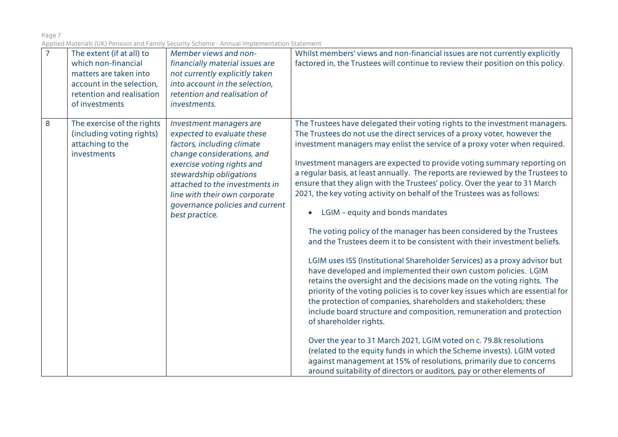| $\overline{7}$ | The extent (if at all) to<br>which non-financial<br>matters are taken into<br>account in the selection,<br>retention and realisation<br>of investments | Member views and non-<br>financially material issues are<br>not currently explicitly taken<br>into account in the selection,<br>retention and realisation of<br>investments.                                                                                                                       | Whilst members' views and non-financial issues are not currently explicitly<br>factored in, the Trustees will continue to review their position on this policy.                                                                                                                                                                                                                                                                                                                                                                                                                                                                                                                                                                                                                                                                                                                                                                                                                                                                                                                                                                                                                                                                                                                                                                                                                                                                                                                                                                         |
|----------------|--------------------------------------------------------------------------------------------------------------------------------------------------------|----------------------------------------------------------------------------------------------------------------------------------------------------------------------------------------------------------------------------------------------------------------------------------------------------|-----------------------------------------------------------------------------------------------------------------------------------------------------------------------------------------------------------------------------------------------------------------------------------------------------------------------------------------------------------------------------------------------------------------------------------------------------------------------------------------------------------------------------------------------------------------------------------------------------------------------------------------------------------------------------------------------------------------------------------------------------------------------------------------------------------------------------------------------------------------------------------------------------------------------------------------------------------------------------------------------------------------------------------------------------------------------------------------------------------------------------------------------------------------------------------------------------------------------------------------------------------------------------------------------------------------------------------------------------------------------------------------------------------------------------------------------------------------------------------------------------------------------------------------|
| 8              | The exercise of the rights<br>(including voting rights)<br>attaching to the<br>investments                                                             | Investment managers are<br>expected to evaluate these<br>factors, including climate<br>change considerations, and<br>exercise voting rights and<br>stewardship obligations<br>attached to the investments in<br>line with their own corporate<br>governance policies and current<br>best practice. | The Trustees have delegated their voting rights to the investment managers.<br>The Trustees do not use the direct services of a proxy voter, however the<br>investment managers may enlist the service of a proxy voter when required.<br>Investment managers are expected to provide voting summary reporting on<br>a regular basis, at least annually. The reports are reviewed by the Trustees to<br>ensure that they align with the Trustees' policy. Over the year to 31 March<br>2021, the key voting activity on behalf of the Trustees was as follows:<br>LGIM - equity and bonds mandates<br>The voting policy of the manager has been considered by the Trustees<br>and the Trustees deem it to be consistent with their investment beliefs.<br>LGIM uses ISS (Institutional Shareholder Services) as a proxy advisor but<br>have developed and implemented their own custom policies. LGIM<br>retains the oversight and the decisions made on the voting rights. The<br>priority of the voting policies is to cover key issues which are essential for<br>the protection of companies, shareholders and stakeholders; these<br>include board structure and composition, remuneration and protection<br>of shareholder rights.<br>Over the year to 31 March 2021, LGIM voted on c. 79.8k resolutions<br>(related to the equity funds in which the Scheme invests). LGIM voted<br>against management at 15% of resolutions, primarily due to concerns<br>around suitability of directors or auditors, pay or other elements of |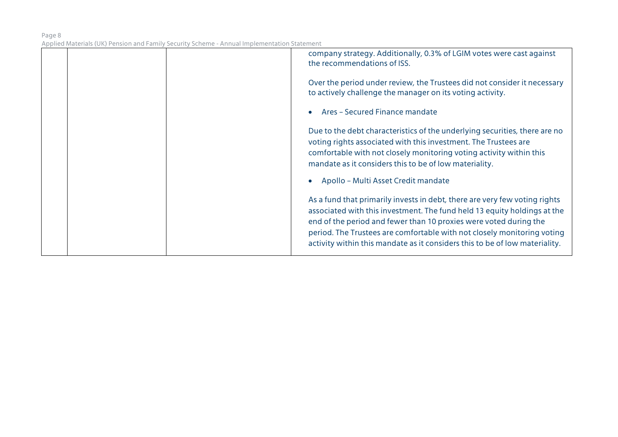|  | company strategy. Additionally, 0.3% of LGIM votes were cast against<br>the recommendations of ISS.                                                                                                                                                                                                                                                                                   |
|--|---------------------------------------------------------------------------------------------------------------------------------------------------------------------------------------------------------------------------------------------------------------------------------------------------------------------------------------------------------------------------------------|
|  | Over the period under review, the Trustees did not consider it necessary<br>to actively challenge the manager on its voting activity.                                                                                                                                                                                                                                                 |
|  | Ares - Secured Finance mandate                                                                                                                                                                                                                                                                                                                                                        |
|  | Due to the debt characteristics of the underlying securities, there are no<br>voting rights associated with this investment. The Trustees are<br>comfortable with not closely monitoring voting activity within this<br>mandate as it considers this to be of low materiality.                                                                                                        |
|  | Apollo - Multi Asset Credit mandate                                                                                                                                                                                                                                                                                                                                                   |
|  | As a fund that primarily invests in debt, there are very few voting rights<br>associated with this investment. The fund held 13 equity holdings at the<br>end of the period and fewer than 10 proxies were voted during the<br>period. The Trustees are comfortable with not closely monitoring voting<br>activity within this mandate as it considers this to be of low materiality. |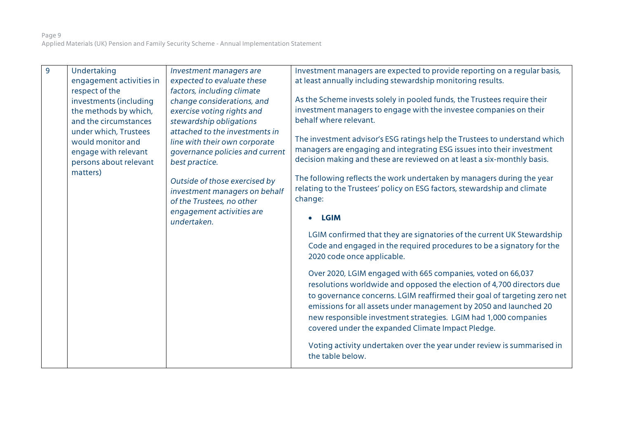| $\overline{9}$ | Undertaking              | Investment managers are                                                                     | Investment managers are expected to provide reporting on a regular basis,                                                                                                                                                                                                                                                                                                                                     |
|----------------|--------------------------|---------------------------------------------------------------------------------------------|---------------------------------------------------------------------------------------------------------------------------------------------------------------------------------------------------------------------------------------------------------------------------------------------------------------------------------------------------------------------------------------------------------------|
|                | engagement activities in | expected to evaluate these                                                                  | at least annually including stewardship monitoring results.                                                                                                                                                                                                                                                                                                                                                   |
|                | respect of the           | factors, including climate                                                                  |                                                                                                                                                                                                                                                                                                                                                                                                               |
|                | investments (including   | change considerations, and                                                                  | As the Scheme invests solely in pooled funds, the Trustees require their                                                                                                                                                                                                                                                                                                                                      |
|                | the methods by which,    | exercise voting rights and                                                                  | investment managers to engage with the investee companies on their                                                                                                                                                                                                                                                                                                                                            |
|                | and the circumstances    | stewardship obligations                                                                     | behalf where relevant.                                                                                                                                                                                                                                                                                                                                                                                        |
|                | under which, Trustees    | attached to the investments in                                                              | The investment advisor's ESG ratings help the Trustees to understand which                                                                                                                                                                                                                                                                                                                                    |
|                | would monitor and        | line with their own corporate                                                               | managers are engaging and integrating ESG issues into their investment                                                                                                                                                                                                                                                                                                                                        |
|                | engage with relevant     | governance policies and current                                                             | decision making and these are reviewed on at least a six-monthly basis.                                                                                                                                                                                                                                                                                                                                       |
|                | persons about relevant   | best practice.                                                                              |                                                                                                                                                                                                                                                                                                                                                                                                               |
|                | matters)                 | Outside of those exercised by<br>investment managers on behalf<br>of the Trustees, no other | The following reflects the work undertaken by managers during the year<br>relating to the Trustees' policy on ESG factors, stewardship and climate<br>change:                                                                                                                                                                                                                                                 |
|                |                          | engagement activities are<br>undertaken.                                                    | <b>LGIM</b>                                                                                                                                                                                                                                                                                                                                                                                                   |
|                |                          |                                                                                             | LGIM confirmed that they are signatories of the current UK Stewardship<br>Code and engaged in the required procedures to be a signatory for the<br>2020 code once applicable.                                                                                                                                                                                                                                 |
|                |                          |                                                                                             | Over 2020, LGIM engaged with 665 companies, voted on 66,037<br>resolutions worldwide and opposed the election of 4,700 directors due<br>to governance concerns. LGIM reaffirmed their goal of targeting zero net<br>emissions for all assets under management by 2050 and launched 20<br>new responsible investment strategies. LGIM had 1,000 companies<br>covered under the expanded Climate Impact Pledge. |
|                |                          |                                                                                             | Voting activity undertaken over the year under review is summarised in<br>the table below.                                                                                                                                                                                                                                                                                                                    |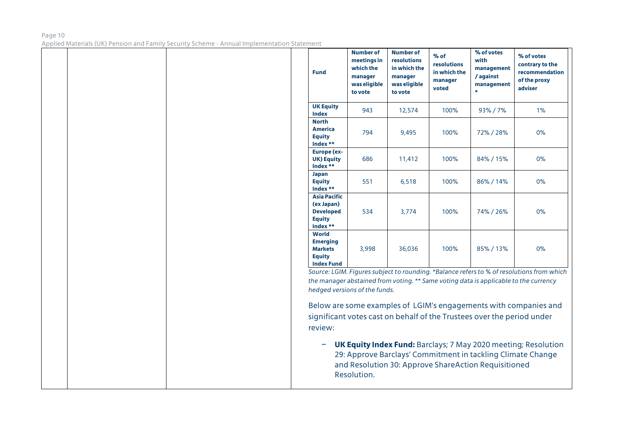#### Page 10 Applied Materials (UK) Pension and Family Security Scheme - Annual Implementation Statement

| <b>Fund</b>                                                                             | <b>Number of</b><br>meetings in<br>which the<br>manager<br>was eligible<br>to vote | <b>Number of</b><br><b>resolutions</b><br>in which the<br>manager<br>was eligible<br>to vote | $%$ of<br><b>resolutions</b><br>in which the<br>manager<br>voted | % of votes<br>with<br>management<br>/ against<br>management<br>$\star$ | % of votes<br>contrary to the<br>recommendation<br>of the proxy<br>adviser |
|-----------------------------------------------------------------------------------------|------------------------------------------------------------------------------------|----------------------------------------------------------------------------------------------|------------------------------------------------------------------|------------------------------------------------------------------------|----------------------------------------------------------------------------|
| <b>UK Equity</b><br><b>Index</b>                                                        | 943                                                                                | 12,574                                                                                       | 100%                                                             | 93%/7%                                                                 | 1%                                                                         |
| <b>North</b><br><b>America</b><br><b>Equity</b><br>Index **                             | 794                                                                                | 9,495                                                                                        | 100%                                                             | 72%/28%                                                                | 0%                                                                         |
| <b>Europe (ex-</b><br><b>UK) Equity</b><br>Index **                                     | 686                                                                                | 11,412                                                                                       | 100%                                                             | 84% / 15%                                                              | 0%                                                                         |
| Japan<br><b>Equity</b><br>Index **                                                      | 551                                                                                | 6,518                                                                                        | 100%                                                             | 86%/14%                                                                | 0%                                                                         |
| <b>Asia Pacific</b><br>(ex Japan)<br><b>Developed</b><br><b>Equity</b><br>Index **      | 534                                                                                | 3.774                                                                                        | 100%                                                             | 74% / 26%                                                              | 0%                                                                         |
| <b>World</b><br><b>Emerging</b><br><b>Markets</b><br><b>Equity</b><br><b>Index Fund</b> | 3,998                                                                              | 36,036                                                                                       | 100%                                                             | 85%/13%                                                                | 0%                                                                         |

*the manager abstained from voting. \*\* Same voting data is applicable to the currency hedged versions of the funds.*

Below are some examples of LGIM's engagements with companies and significant votes cast on behalf of the Trustees over the period under review:

− **UK Equity Index Fund:** Barclays; 7 May 2020 meeting; Resolution 29: Approve Barclays' Commitment in tackling Climate Change and Resolution 30: Approve ShareAction Requisitioned Resolution.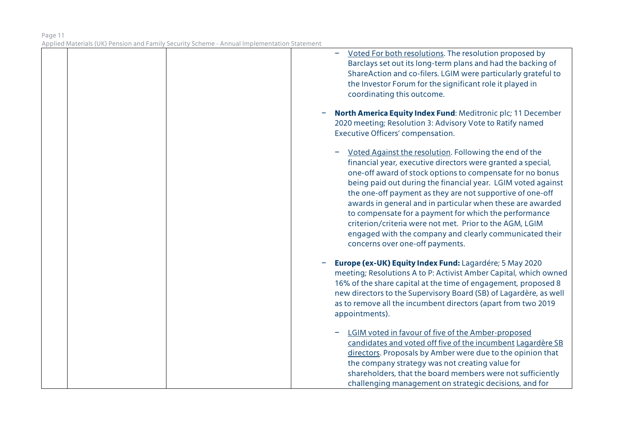|  | Voted For both resolutions. The resolution proposed by<br>Barclays set out its long-term plans and had the backing of<br>ShareAction and co-filers. LGIM were particularly grateful to<br>the Investor Forum for the significant role it played in<br>coordinating this outcome.                                                                                                                                                                                                                                                                                                                |
|--|-------------------------------------------------------------------------------------------------------------------------------------------------------------------------------------------------------------------------------------------------------------------------------------------------------------------------------------------------------------------------------------------------------------------------------------------------------------------------------------------------------------------------------------------------------------------------------------------------|
|  | North America Equity Index Fund: Meditronic plc; 11 December<br>2020 meeting; Resolution 3: Advisory Vote to Ratify named<br>Executive Officers' compensation.                                                                                                                                                                                                                                                                                                                                                                                                                                  |
|  | Voted Against the resolution. Following the end of the<br>financial year, executive directors were granted a special,<br>one-off award of stock options to compensate for no bonus<br>being paid out during the financial year. LGIM voted against<br>the one-off payment as they are not supportive of one-off<br>awards in general and in particular when these are awarded<br>to compensate for a payment for which the performance<br>criterion/criteria were not met. Prior to the AGM, LGIM<br>engaged with the company and clearly communicated their<br>concerns over one-off payments. |
|  | Europe (ex-UK) Equity Index Fund: Lagardére; 5 May 2020<br>meeting; Resolutions A to P: Activist Amber Capital, which owned<br>16% of the share capital at the time of engagement, proposed 8<br>new directors to the Supervisory Board (SB) of Lagardère, as well<br>as to remove all the incumbent directors (apart from two 2019<br>appointments).                                                                                                                                                                                                                                           |
|  | LGIM voted in favour of five of the Amber-proposed<br>candidates and voted off five of the incumbent Lagardère SB<br>directors. Proposals by Amber were due to the opinion that<br>the company strategy was not creating value for<br>shareholders, that the board members were not sufficiently<br>challenging management on strategic decisions, and for                                                                                                                                                                                                                                      |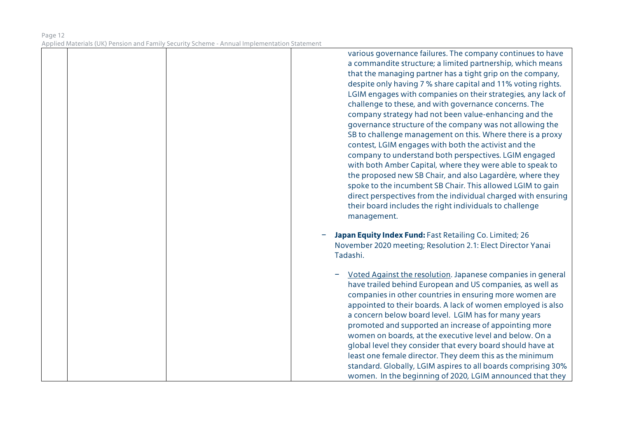various governance failures. The company continues to have a commandite structure; a limited partnership, which means that the managing partner has a tight grip on the company, despite only having 7 % share capital and 11% voting rights. LGIM engages with companies on their strategies, any lack of challenge to these, and with governance concerns. The company strategy had not been value-enhancing and the governance structure of the company was not allowing the SB to challenge management on this. Where there is a proxy contest, LGIM engages with both the activist and the company to understand both perspectives. LGIM engaged with both Amber Capital, where they were able to speak to the proposed new SB Chair, and also Lagardère, where they spoke to the incumbent SB Chair. This allowed LGIM to gain direct perspectives from the individual charged with ensuring their board includes the right individuals to challenge management.

- − **Japan Equity Index Fund:** Fast Retailing Co. Limited; 26 November 2020 meeting; Resolution 2.1: Elect Director Yanai Tadashi.
	- − Voted Against the resolution. Japanese companies in general have trailed behind European and US companies, as well as companies in other countries in ensuring more women are appointed to their boards. A lack of women employed is also a concern below board level. LGIM has for many years promoted and supported an increase of appointing more women on boards, at the executive level and below. On a global level they consider that every board should have at least one female director. They deem this as the minimum standard. Globally, LGIM aspires to all boards comprising 30% women. In the beginning of 2020, LGIM announced that they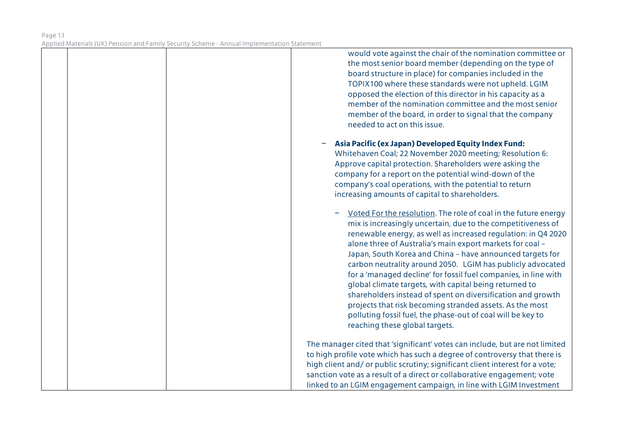would vote against the chair of the nomination committee or the most senior board member (depending on the type of board structure in place) for companies included in the TOPIX100 where these standards were not upheld. LGIM opposed the election of this director in his capacity as a member of the nomination committee and the most senior member of the board, in order to signal that the company needed to act on this issue. − **Asia Pacific (ex Japan) Developed Equity Index Fund:** Whitehaven Coal; 22 November 2020 meeting; Resolution 6: Approve capital protection. Shareholders were asking the company for a report on the potential wind-down of the company's coal operations, with the potential to return increasing amounts of capital to shareholders.

Voted For the resolution. The role of coal in the future energy mix is increasingly uncertain, due to the competitiveness of renewable energy, as well as increased regulation: in Q4 2020 alone three of Australia's main export markets for coal – Japan, South Korea and China – have announced targets for carbon neutrality around 2050. LGIM has publicly advocated for a 'managed decline' for fossil fuel companies, in line with global climate targets, with capital being returned to shareholders instead of spent on diversification and growth projects that risk becoming stranded assets. As the most polluting fossil fuel, the phase-out of coal will be key to reaching these global targets.

The manager cited that 'significant' votes can include, but are not limited to high profile vote which has such a degree of controversy that there is high client and/ or public scrutiny; significant client interest for a vote; sanction vote as a result of a direct or collaborative engagement; vote linked to an LGIM engagement campaign, in line with LGIM Investment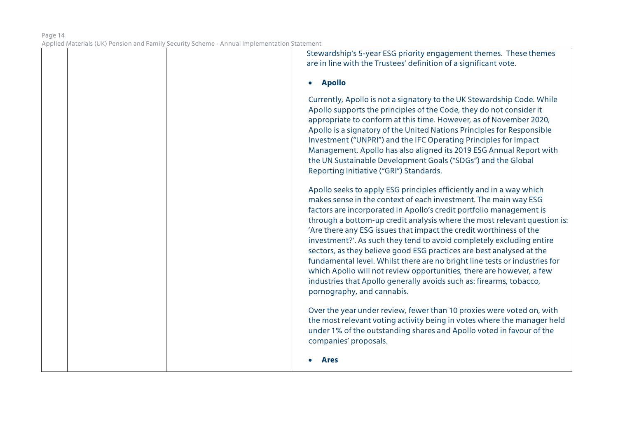| Stewardship's 5-year ESG priority engagement themes. These themes<br>are in line with the Trustees' definition of a significant vote.                                                                                                                                                                                                                                                                                                                                                                                                                                                                                                                                                                                                                                      |
|----------------------------------------------------------------------------------------------------------------------------------------------------------------------------------------------------------------------------------------------------------------------------------------------------------------------------------------------------------------------------------------------------------------------------------------------------------------------------------------------------------------------------------------------------------------------------------------------------------------------------------------------------------------------------------------------------------------------------------------------------------------------------|
| <b>Apollo</b><br>$\bullet$                                                                                                                                                                                                                                                                                                                                                                                                                                                                                                                                                                                                                                                                                                                                                 |
| Currently, Apollo is not a signatory to the UK Stewardship Code. While<br>Apollo supports the principles of the Code, they do not consider it<br>appropriate to conform at this time. However, as of November 2020,<br>Apollo is a signatory of the United Nations Principles for Responsible<br>Investment ("UNPRI") and the IFC Operating Principles for Impact<br>Management. Apollo has also aligned its 2019 ESG Annual Report with<br>the UN Sustainable Development Goals ("SDGs") and the Global<br>Reporting Initiative ("GRI") Standards.                                                                                                                                                                                                                        |
| Apollo seeks to apply ESG principles efficiently and in a way which<br>makes sense in the context of each investment. The main way ESG<br>factors are incorporated in Apollo's credit portfolio management is<br>through a bottom-up credit analysis where the most relevant question is:<br>'Are there any ESG issues that impact the credit worthiness of the<br>investment?'. As such they tend to avoid completely excluding entire<br>sectors, as they believe good ESG practices are best analysed at the<br>fundamental level. Whilst there are no bright line tests or industries for<br>which Apollo will not review opportunities, there are however, a few<br>industries that Apollo generally avoids such as: firearms, tobacco,<br>pornography, and cannabis. |
| Over the year under review, fewer than 10 proxies were voted on, with<br>the most relevant voting activity being in votes where the manager held<br>under 1% of the outstanding shares and Apollo voted in favour of the<br>companies' proposals.                                                                                                                                                                                                                                                                                                                                                                                                                                                                                                                          |
| <b>Ares</b>                                                                                                                                                                                                                                                                                                                                                                                                                                                                                                                                                                                                                                                                                                                                                                |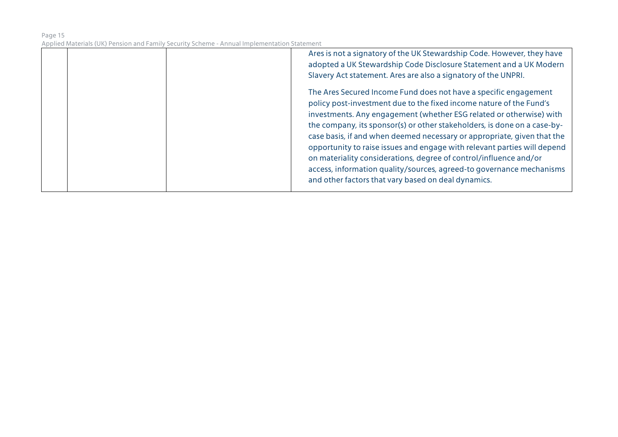| Ares is not a signatory of the UK Stewardship Code. However, they have<br>adopted a UK Stewardship Code Disclosure Statement and a UK Modern<br>Slavery Act statement. Ares are also a signatory of the UNPRI.                                                                                                                                                                                                                                                                                                                                                                                                                                        |
|-------------------------------------------------------------------------------------------------------------------------------------------------------------------------------------------------------------------------------------------------------------------------------------------------------------------------------------------------------------------------------------------------------------------------------------------------------------------------------------------------------------------------------------------------------------------------------------------------------------------------------------------------------|
| The Ares Secured Income Fund does not have a specific engagement<br>policy post-investment due to the fixed income nature of the Fund's<br>investments. Any engagement (whether ESG related or otherwise) with<br>the company, its sponsor(s) or other stakeholders, is done on a case-by-<br>case basis, if and when deemed necessary or appropriate, given that the<br>opportunity to raise issues and engage with relevant parties will depend<br>on materiality considerations, degree of control/influence and/or<br>access, information quality/sources, agreed-to governance mechanisms<br>and other factors that vary based on deal dynamics. |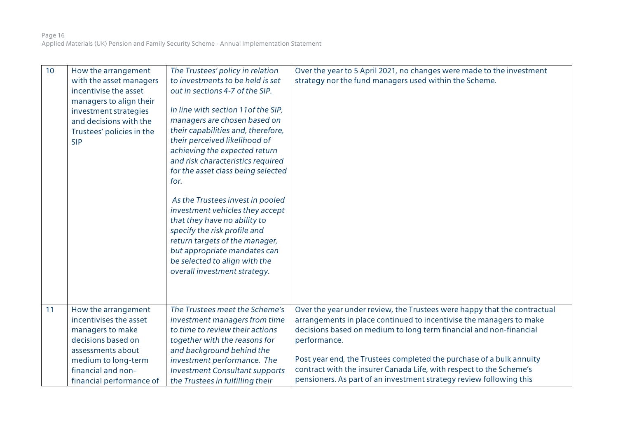| 10 | How the arrangement<br>with the asset managers<br>incentivise the asset<br>managers to align their<br>investment strategies<br>and decisions with the<br>Trustees' policies in the<br><b>SIP</b> | The Trustees' policy in relation<br>to investments to be held is set<br>out in sections 4-7 of the SIP.<br>In line with section 11 of the SIP,<br>managers are chosen based on<br>their capabilities and, therefore,<br>their perceived likelihood of<br>achieving the expected return<br>and risk characteristics required<br>for the asset class being selected<br>for.<br>As the Trustees invest in pooled<br>investment vehicles they accept<br>that they have no ability to<br>specify the risk profile and<br>return targets of the manager,<br>but appropriate mandates can<br>be selected to align with the<br>overall investment strategy. | Over the year to 5 April 2021, no changes were made to the investment<br>strategy nor the fund managers used within the Scheme.                                                                                                                                                                                                                                                                                                                             |
|----|--------------------------------------------------------------------------------------------------------------------------------------------------------------------------------------------------|-----------------------------------------------------------------------------------------------------------------------------------------------------------------------------------------------------------------------------------------------------------------------------------------------------------------------------------------------------------------------------------------------------------------------------------------------------------------------------------------------------------------------------------------------------------------------------------------------------------------------------------------------------|-------------------------------------------------------------------------------------------------------------------------------------------------------------------------------------------------------------------------------------------------------------------------------------------------------------------------------------------------------------------------------------------------------------------------------------------------------------|
| 11 | How the arrangement<br>incentivises the asset<br>managers to make<br>decisions based on<br>assessments about<br>medium to long-term<br>financial and non-<br>financial performance of            | The Trustees meet the Scheme's<br>investment managers from time<br>to time to review their actions<br>together with the reasons for<br>and background behind the<br>investment performance. The<br><b>Investment Consultant supports</b><br>the Trustees in fulfilling their                                                                                                                                                                                                                                                                                                                                                                        | Over the year under review, the Trustees were happy that the contractual<br>arrangements in place continued to incentivise the managers to make<br>decisions based on medium to long term financial and non-financial<br>performance.<br>Post year end, the Trustees completed the purchase of a bulk annuity<br>contract with the insurer Canada Life, with respect to the Scheme's<br>pensioners. As part of an investment strategy review following this |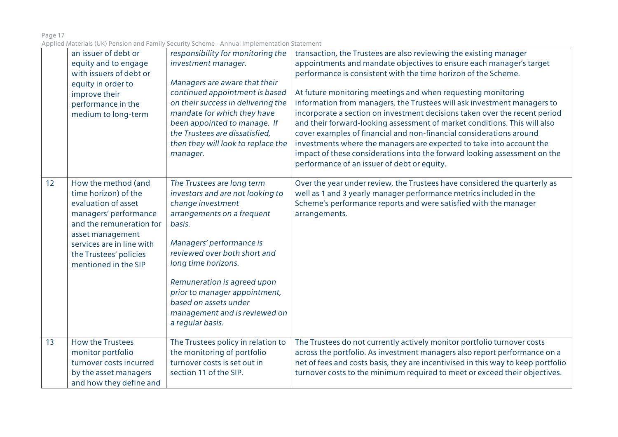| Page 17                                                                                     |  |
|---------------------------------------------------------------------------------------------|--|
| Applied Materials (UK) Pension and Family Security Scheme - Annual Implementation Statement |  |

|    | an issuer of debt or<br>equity and to engage<br>with issuers of debt or<br>equity in order to<br>improve their<br>performance in the<br>medium to long-term                                                                | responsibility for monitoring the<br>investment manager.<br>Managers are aware that their<br>continued appointment is based<br>on their success in delivering the<br>mandate for which they have<br>been appointed to manage. If<br>the Trustees are dissatisfied,<br>then they will look to replace the<br>manager.                                         | transaction, the Trustees are also reviewing the existing manager<br>appointments and mandate objectives to ensure each manager's target<br>performance is consistent with the time horizon of the Scheme.<br>At future monitoring meetings and when requesting monitoring<br>information from managers, the Trustees will ask investment managers to<br>incorporate a section on investment decisions taken over the recent period<br>and their forward-looking assessment of market conditions. This will also<br>cover examples of financial and non-financial considerations around<br>investments where the managers are expected to take into account the<br>impact of these considerations into the forward looking assessment on the<br>performance of an issuer of debt or equity. |
|----|----------------------------------------------------------------------------------------------------------------------------------------------------------------------------------------------------------------------------|--------------------------------------------------------------------------------------------------------------------------------------------------------------------------------------------------------------------------------------------------------------------------------------------------------------------------------------------------------------|---------------------------------------------------------------------------------------------------------------------------------------------------------------------------------------------------------------------------------------------------------------------------------------------------------------------------------------------------------------------------------------------------------------------------------------------------------------------------------------------------------------------------------------------------------------------------------------------------------------------------------------------------------------------------------------------------------------------------------------------------------------------------------------------|
| 12 | How the method (and<br>time horizon) of the<br>evaluation of asset<br>managers' performance<br>and the remuneration for<br>asset management<br>services are in line with<br>the Trustees' policies<br>mentioned in the SIP | The Trustees are long term<br>investors and are not looking to<br>change investment<br>arrangements on a frequent<br>basis.<br>Managers' performance is<br>reviewed over both short and<br>long time horizons.<br>Remuneration is agreed upon<br>prior to manager appointment,<br>based on assets under<br>management and is reviewed on<br>a regular basis. | Over the year under review, the Trustees have considered the quarterly as<br>well as 1 and 3 yearly manager performance metrics included in the<br>Scheme's performance reports and were satisfied with the manager<br>arrangements.                                                                                                                                                                                                                                                                                                                                                                                                                                                                                                                                                        |
| 13 | <b>How the Trustees</b><br>monitor portfolio<br>turnover costs incurred<br>by the asset managers<br>and how they define and                                                                                                | The Trustees policy in relation to<br>the monitoring of portfolio<br>turnover costs is set out in<br>section 11 of the SIP.                                                                                                                                                                                                                                  | The Trustees do not currently actively monitor portfolio turnover costs<br>across the portfolio. As investment managers also report performance on a<br>net of fees and costs basis, they are incentivised in this way to keep portfolio<br>turnover costs to the minimum required to meet or exceed their objectives.                                                                                                                                                                                                                                                                                                                                                                                                                                                                      |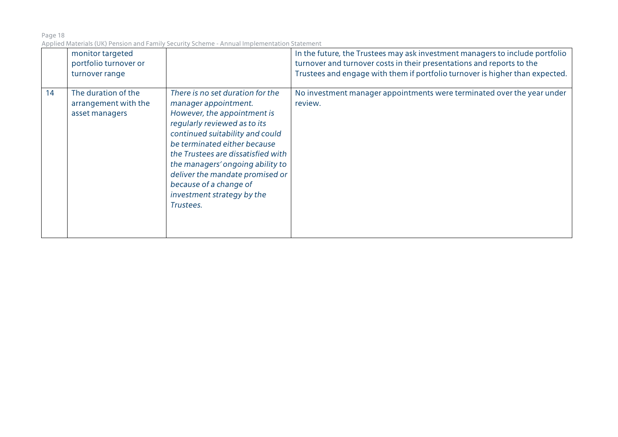|    | monitor targeted<br>portfolio turnover or<br>turnover range   |                                                                                                                                                                                                                                                                                                                                                                              | In the future, the Trustees may ask investment managers to include portfolio<br>turnover and turnover costs in their presentations and reports to the<br>Trustees and engage with them if portfolio turnover is higher than expected. |
|----|---------------------------------------------------------------|------------------------------------------------------------------------------------------------------------------------------------------------------------------------------------------------------------------------------------------------------------------------------------------------------------------------------------------------------------------------------|---------------------------------------------------------------------------------------------------------------------------------------------------------------------------------------------------------------------------------------|
| 14 | The duration of the<br>arrangement with the<br>asset managers | There is no set duration for the<br>manager appointment.<br>However, the appointment is<br>regularly reviewed as to its<br>continued suitability and could<br>be terminated either because<br>the Trustees are dissatisfied with<br>the managers' ongoing ability to<br>deliver the mandate promised or<br>because of a change of<br>investment strategy by the<br>Trustees. | No investment manager appointments were terminated over the year under<br>review.                                                                                                                                                     |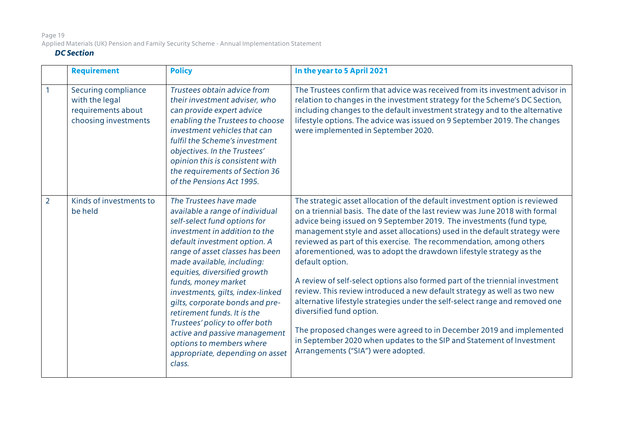# Page 19 Applied Materials (UK) Pension and Family Security Scheme - Annual Implementation Statement

## *DC Section*

|                | <b>Requirement</b>                                                                  | <b>Policy</b>                                                                                                                                                                                                                                                                                                                                                                                                                                                                                                                        | In the year to 5 April 2021                                                                                                                                                                                                                                                                                                                                                                                                                                                                                                                                                                                                                                                                                                                                                                                                                                                                                                                     |
|----------------|-------------------------------------------------------------------------------------|--------------------------------------------------------------------------------------------------------------------------------------------------------------------------------------------------------------------------------------------------------------------------------------------------------------------------------------------------------------------------------------------------------------------------------------------------------------------------------------------------------------------------------------|-------------------------------------------------------------------------------------------------------------------------------------------------------------------------------------------------------------------------------------------------------------------------------------------------------------------------------------------------------------------------------------------------------------------------------------------------------------------------------------------------------------------------------------------------------------------------------------------------------------------------------------------------------------------------------------------------------------------------------------------------------------------------------------------------------------------------------------------------------------------------------------------------------------------------------------------------|
|                | Securing compliance<br>with the legal<br>requirements about<br>choosing investments | Trustees obtain advice from<br>their investment adviser, who<br>can provide expert advice<br>enabling the Trustees to choose<br>investment vehicles that can<br>fulfil the Scheme's investment<br>objectives. In the Trustees'<br>opinion this is consistent with<br>the requirements of Section 36<br>of the Pensions Act 1995.                                                                                                                                                                                                     | The Trustees confirm that advice was received from its investment advisor in<br>relation to changes in the investment strategy for the Scheme's DC Section,<br>including changes to the default investment strategy and to the alternative<br>lifestyle options. The advice was issued on 9 September 2019. The changes<br>were implemented in September 2020.                                                                                                                                                                                                                                                                                                                                                                                                                                                                                                                                                                                  |
| $\overline{2}$ | Kinds of investments to<br>be held                                                  | The Trustees have made<br>available a range of individual<br>self-select fund options for<br>investment in addition to the<br>default investment option. A<br>range of asset classes has been<br>made available, including:<br>equities, diversified growth<br>funds, money market<br>investments, gilts, index-linked<br>gilts, corporate bonds and pre-<br>retirement funds. It is the<br>Trustees' policy to offer both<br>active and passive management<br>options to members where<br>appropriate, depending on asset<br>class. | The strategic asset allocation of the default investment option is reviewed<br>on a triennial basis. The date of the last review was June 2018 with formal<br>advice being issued on 9 September 2019. The investments (fund type,<br>management style and asset allocations) used in the default strategy were<br>reviewed as part of this exercise. The recommendation, among others<br>aforementioned, was to adopt the drawdown lifestyle strategy as the<br>default option.<br>A review of self-select options also formed part of the triennial investment<br>review. This review introduced a new default strategy as well as two new<br>alternative lifestyle strategies under the self-select range and removed one<br>diversified fund option.<br>The proposed changes were agreed to in December 2019 and implemented<br>in September 2020 when updates to the SIP and Statement of Investment<br>Arrangements ("SIA") were adopted. |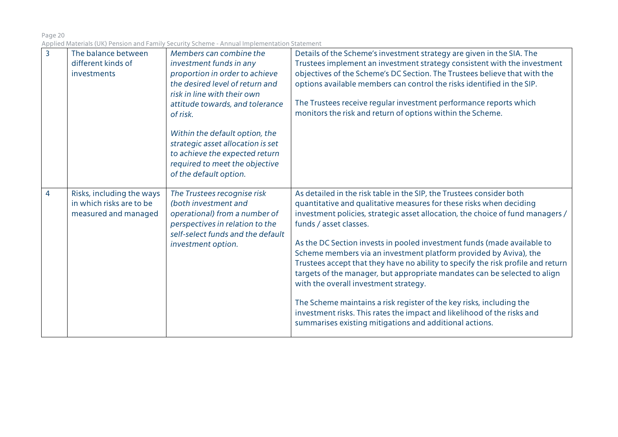| $\overline{3}$ | The balance between<br>different kinds of<br>investments                      | Members can combine the<br>investment funds in any<br>proportion in order to achieve<br>the desired level of return and<br>risk in line with their own<br>attitude towards, and tolerance<br>of risk.<br>Within the default option, the<br>strategic asset allocation is set<br>to achieve the expected return<br>required to meet the objective<br>of the default option. | Details of the Scheme's investment strategy are given in the SIA. The<br>Trustees implement an investment strategy consistent with the investment<br>objectives of the Scheme's DC Section. The Trustees believe that with the<br>options available members can control the risks identified in the SIP.<br>The Trustees receive regular investment performance reports which<br>monitors the risk and return of options within the Scheme.                                                                                                                                                                                                                                                                                                                                                                                     |
|----------------|-------------------------------------------------------------------------------|----------------------------------------------------------------------------------------------------------------------------------------------------------------------------------------------------------------------------------------------------------------------------------------------------------------------------------------------------------------------------|---------------------------------------------------------------------------------------------------------------------------------------------------------------------------------------------------------------------------------------------------------------------------------------------------------------------------------------------------------------------------------------------------------------------------------------------------------------------------------------------------------------------------------------------------------------------------------------------------------------------------------------------------------------------------------------------------------------------------------------------------------------------------------------------------------------------------------|
| $\overline{4}$ | Risks, including the ways<br>in which risks are to be<br>measured and managed | The Trustees recognise risk<br>(both investment and<br>operational) from a number of<br>perspectives in relation to the<br>self-select funds and the default<br>investment option.                                                                                                                                                                                         | As detailed in the risk table in the SIP, the Trustees consider both<br>quantitative and qualitative measures for these risks when deciding<br>investment policies, strategic asset allocation, the choice of fund managers /<br>funds / asset classes.<br>As the DC Section invests in pooled investment funds (made available to<br>Scheme members via an investment platform provided by Aviva), the<br>Trustees accept that they have no ability to specify the risk profile and return<br>targets of the manager, but appropriate mandates can be selected to align<br>with the overall investment strategy.<br>The Scheme maintains a risk register of the key risks, including the<br>investment risks. This rates the impact and likelihood of the risks and<br>summarises existing mitigations and additional actions. |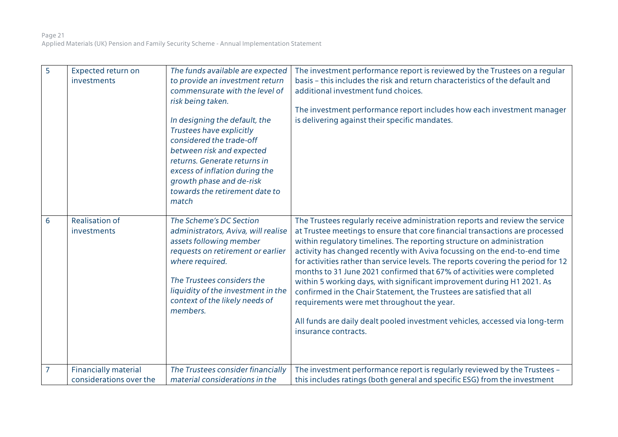| 5 | Expected return on<br>investments                      | The funds available are expected<br>to provide an investment return<br>commensurate with the level of<br>risk being taken.<br>In designing the default, the<br>Trustees have explicitly<br>considered the trade-off<br>between risk and expected<br>returns. Generate returns in<br>excess of inflation during the<br>growth phase and de-risk<br>towards the retirement date to<br>match | The investment performance report is reviewed by the Trustees on a regular<br>basis - this includes the risk and return characteristics of the default and<br>additional investment fund choices.<br>The investment performance report includes how each investment manager<br>is delivering against their specific mandates.                                                                                                                                                                                                                                                                                                                                                                                                                                                               |
|---|--------------------------------------------------------|-------------------------------------------------------------------------------------------------------------------------------------------------------------------------------------------------------------------------------------------------------------------------------------------------------------------------------------------------------------------------------------------|---------------------------------------------------------------------------------------------------------------------------------------------------------------------------------------------------------------------------------------------------------------------------------------------------------------------------------------------------------------------------------------------------------------------------------------------------------------------------------------------------------------------------------------------------------------------------------------------------------------------------------------------------------------------------------------------------------------------------------------------------------------------------------------------|
| 6 | <b>Realisation of</b><br>investments                   | The Scheme's DC Section<br>administrators, Aviva, will realise<br>assets following member<br>requests on retirement or earlier<br>where required.<br>The Trustees considers the<br>liquidity of the investment in the<br>context of the likely needs of<br>members.                                                                                                                       | The Trustees regularly receive administration reports and review the service<br>at Trustee meetings to ensure that core financial transactions are processed<br>within regulatory timelines. The reporting structure on administration<br>activity has changed recently with Aviva focussing on the end-to-end time<br>for activities rather than service levels. The reports covering the period for 12<br>months to 31 June 2021 confirmed that 67% of activities were completed<br>within 5 working days, with significant improvement during H1 2021. As<br>confirmed in the Chair Statement, the Trustees are satisfied that all<br>requirements were met throughout the year.<br>All funds are daily dealt pooled investment vehicles, accessed via long-term<br>insurance contracts. |
| 7 | <b>Financially material</b><br>considerations over the | The Trustees consider financially<br>material considerations in the                                                                                                                                                                                                                                                                                                                       | The investment performance report is regularly reviewed by the Trustees -<br>this includes ratings (both general and specific ESG) from the investment                                                                                                                                                                                                                                                                                                                                                                                                                                                                                                                                                                                                                                      |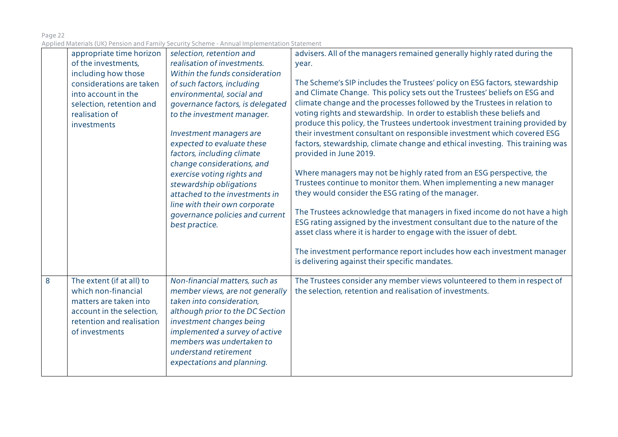|   | appropriate time horizon<br>of the investments,<br>including how those<br>considerations are taken<br>into account in the<br>selection, retention and<br>realisation of<br>investments | selection, retention and<br>realisation of investments.<br>Within the funds consideration<br>of such factors, including<br>environmental, social and<br>governance factors, is delegated<br>to the investment manager.<br>Investment managers are<br>expected to evaluate these<br>factors, including climate<br>change considerations, and<br>exercise voting rights and<br>stewardship obligations<br>attached to the investments in<br>line with their own corporate<br>governance policies and current<br>best practice. | advisers. All of the managers remained generally highly rated during the<br>year.<br>The Scheme's SIP includes the Trustees' policy on ESG factors, stewardship<br>and Climate Change. This policy sets out the Trustees' beliefs on ESG and<br>climate change and the processes followed by the Trustees in relation to<br>voting rights and stewardship. In order to establish these beliefs and<br>produce this policy, the Trustees undertook investment training provided by<br>their investment consultant on responsible investment which covered ESG<br>factors, stewardship, climate change and ethical investing. This training was<br>provided in June 2019.<br>Where managers may not be highly rated from an ESG perspective, the<br>Trustees continue to monitor them. When implementing a new manager<br>they would consider the ESG rating of the manager.<br>The Trustees acknowledge that managers in fixed income do not have a high<br>ESG rating assigned by the investment consultant due to the nature of the<br>asset class where it is harder to engage with the issuer of debt.<br>The investment performance report includes how each investment manager<br>is delivering against their specific mandates. |
|---|----------------------------------------------------------------------------------------------------------------------------------------------------------------------------------------|------------------------------------------------------------------------------------------------------------------------------------------------------------------------------------------------------------------------------------------------------------------------------------------------------------------------------------------------------------------------------------------------------------------------------------------------------------------------------------------------------------------------------|---------------------------------------------------------------------------------------------------------------------------------------------------------------------------------------------------------------------------------------------------------------------------------------------------------------------------------------------------------------------------------------------------------------------------------------------------------------------------------------------------------------------------------------------------------------------------------------------------------------------------------------------------------------------------------------------------------------------------------------------------------------------------------------------------------------------------------------------------------------------------------------------------------------------------------------------------------------------------------------------------------------------------------------------------------------------------------------------------------------------------------------------------------------------------------------------------------------------------------------|
| 8 | The extent (if at all) to<br>which non-financial<br>matters are taken into<br>account in the selection,<br>retention and realisation<br>of investments                                 | Non-financial matters, such as<br>member views, are not generally<br>taken into consideration,<br>although prior to the DC Section<br>investment changes being<br>implemented a survey of active<br>members was undertaken to<br>understand retirement<br>expectations and planning.                                                                                                                                                                                                                                         | The Trustees consider any member views volunteered to them in respect of<br>the selection, retention and realisation of investments.                                                                                                                                                                                                                                                                                                                                                                                                                                                                                                                                                                                                                                                                                                                                                                                                                                                                                                                                                                                                                                                                                                  |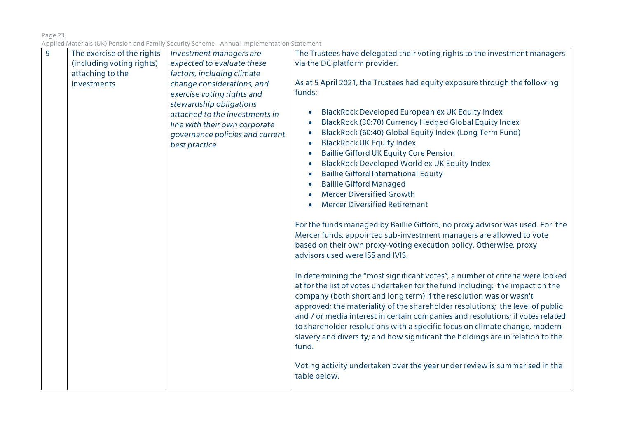| $\overline{9}$ | The exercise of the rights | Investment managers are                                                                                                                         | The Trustees have delegated their voting rights to the investment managers                                                                                                                                                                                                                                                                                                                                                                                                                                                                                                                                                                                                                                                                                                                                                                                                                                                                                                           |
|----------------|----------------------------|-------------------------------------------------------------------------------------------------------------------------------------------------|--------------------------------------------------------------------------------------------------------------------------------------------------------------------------------------------------------------------------------------------------------------------------------------------------------------------------------------------------------------------------------------------------------------------------------------------------------------------------------------------------------------------------------------------------------------------------------------------------------------------------------------------------------------------------------------------------------------------------------------------------------------------------------------------------------------------------------------------------------------------------------------------------------------------------------------------------------------------------------------|
|                | (including voting rights)  | expected to evaluate these                                                                                                                      | via the DC platform provider.                                                                                                                                                                                                                                                                                                                                                                                                                                                                                                                                                                                                                                                                                                                                                                                                                                                                                                                                                        |
|                | attaching to the           | factors, including climate                                                                                                                      |                                                                                                                                                                                                                                                                                                                                                                                                                                                                                                                                                                                                                                                                                                                                                                                                                                                                                                                                                                                      |
|                | investments                | change considerations, and                                                                                                                      | As at 5 April 2021, the Trustees had equity exposure through the following                                                                                                                                                                                                                                                                                                                                                                                                                                                                                                                                                                                                                                                                                                                                                                                                                                                                                                           |
|                |                            | exercise voting rights and                                                                                                                      | funds:                                                                                                                                                                                                                                                                                                                                                                                                                                                                                                                                                                                                                                                                                                                                                                                                                                                                                                                                                                               |
|                |                            | stewardship obligations<br>attached to the investments in<br>line with their own corporate<br>governance policies and current<br>best practice. | BlackRock Developed European ex UK Equity Index<br>BlackRock (30:70) Currency Hedged Global Equity Index<br>BlackRock (60:40) Global Equity Index (Long Term Fund)<br><b>BlackRock UK Equity Index</b><br><b>Baillie Gifford UK Equity Core Pension</b><br><b>BlackRock Developed World ex UK Equity Index</b><br><b>Baillie Gifford International Equity</b><br><b>Baillie Gifford Managed</b><br><b>Mercer Diversified Growth</b><br><b>Mercer Diversified Retirement</b><br>For the funds managed by Baillie Gifford, no proxy advisor was used. For the<br>Mercer funds, appointed sub-investment managers are allowed to vote<br>based on their own proxy-voting execution policy. Otherwise, proxy<br>advisors used were ISS and IVIS.<br>In determining the "most significant votes", a number of criteria were looked<br>at for the list of votes undertaken for the fund including: the impact on the<br>company (both short and long term) if the resolution was or wasn't |
|                |                            |                                                                                                                                                 | approved; the materiality of the shareholder resolutions; the level of public<br>and / or media interest in certain companies and resolutions; if votes related<br>to shareholder resolutions with a specific focus on climate change, modern                                                                                                                                                                                                                                                                                                                                                                                                                                                                                                                                                                                                                                                                                                                                        |
|                |                            |                                                                                                                                                 | slavery and diversity; and how significant the holdings are in relation to the<br>fund.                                                                                                                                                                                                                                                                                                                                                                                                                                                                                                                                                                                                                                                                                                                                                                                                                                                                                              |
|                |                            |                                                                                                                                                 | Voting activity undertaken over the year under review is summarised in the<br>table below.                                                                                                                                                                                                                                                                                                                                                                                                                                                                                                                                                                                                                                                                                                                                                                                                                                                                                           |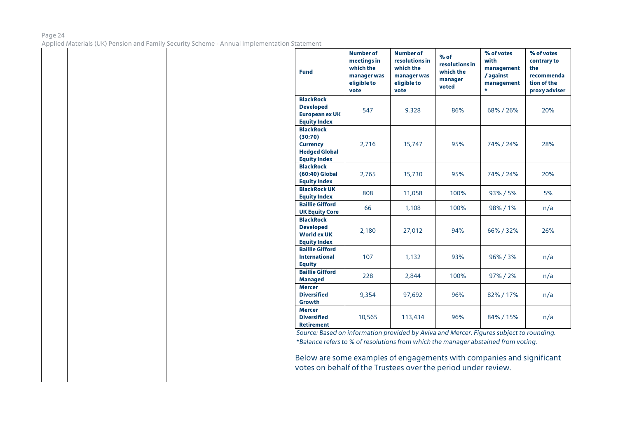|  | <b>Fund</b>                                                                                                                                                                                                                                                                                                            | <b>Number of</b><br>meetings in<br>which the<br>manager was<br>eligible to<br>vote | <b>Number of</b><br>resolutions in<br>which the<br>manager was<br>eligible to<br>vote | $%$ of<br>resolutions in<br>which the<br>manager<br>voted | % of votes<br>with<br>management<br>/ against<br>management<br>÷ | % of votes<br>contrary to<br>the<br>recommenda<br>tion of the<br>proxy adviser |
|--|------------------------------------------------------------------------------------------------------------------------------------------------------------------------------------------------------------------------------------------------------------------------------------------------------------------------|------------------------------------------------------------------------------------|---------------------------------------------------------------------------------------|-----------------------------------------------------------|------------------------------------------------------------------|--------------------------------------------------------------------------------|
|  | <b>BlackRock</b><br><b>Developed</b><br><b>European ex UK</b><br><b>Equity Index</b>                                                                                                                                                                                                                                   | 547                                                                                | 9,328                                                                                 | 86%                                                       | 68%/26%                                                          | 20%                                                                            |
|  | <b>BlackRock</b><br>(30:70)<br><b>Currency</b><br><b>Hedged Global</b><br><b>Equity Index</b>                                                                                                                                                                                                                          | 2,716                                                                              | 35,747                                                                                | 95%                                                       | 74% / 24%                                                        | 28%                                                                            |
|  | <b>BlackRock</b><br>(60:40) Global<br><b>Equity Index</b>                                                                                                                                                                                                                                                              | 2,765                                                                              | 35,730                                                                                | 95%                                                       | 74% / 24%                                                        | 20%                                                                            |
|  | <b>BlackRock UK</b><br><b>Equity Index</b>                                                                                                                                                                                                                                                                             | 808                                                                                | 11,058                                                                                | 100%                                                      | 93% / 5%                                                         | 5%                                                                             |
|  | <b>Baillie Gifford</b><br><b>UK Equity Core</b>                                                                                                                                                                                                                                                                        | 66                                                                                 | 1,108                                                                                 | 100%                                                      | 98% / 1%                                                         | n/a                                                                            |
|  | <b>BlackRock</b><br><b>Developed</b><br><b>World ex UK</b><br><b>Equity Index</b>                                                                                                                                                                                                                                      | 2,180                                                                              | 27,012                                                                                | 94%                                                       | 66% / 32%                                                        | 26%                                                                            |
|  | <b>Baillie Gifford</b><br><b>International</b><br><b>Equity</b>                                                                                                                                                                                                                                                        | 107                                                                                | 1,132                                                                                 | 93%                                                       | 96%/3%                                                           | n/a                                                                            |
|  | <b>Baillie Gifford</b><br><b>Managed</b>                                                                                                                                                                                                                                                                               | 228                                                                                | 2,844                                                                                 | 100%                                                      | 97% / 2%                                                         | n/a                                                                            |
|  | <b>Mercer</b><br><b>Diversified</b><br>Growth                                                                                                                                                                                                                                                                          | 9,354                                                                              | 97,692                                                                                | 96%                                                       | 82%/17%                                                          | n/a                                                                            |
|  | <b>Mercer</b><br><b>Diversified</b><br><b>Retirement</b>                                                                                                                                                                                                                                                               | 10,565                                                                             | 113,434                                                                               | 96%                                                       | 84% / 15%                                                        | n/a                                                                            |
|  | Source: Based on information provided by Aviva and Mercer. Figures subject to rounding.<br>*Balance refers to % of resolutions from which the manager abstained from voting.<br>Below are some examples of engagements with companies and significant<br>votes on behalf of the Trustees over the period under review. |                                                                                    |                                                                                       |                                                           |                                                                  |                                                                                |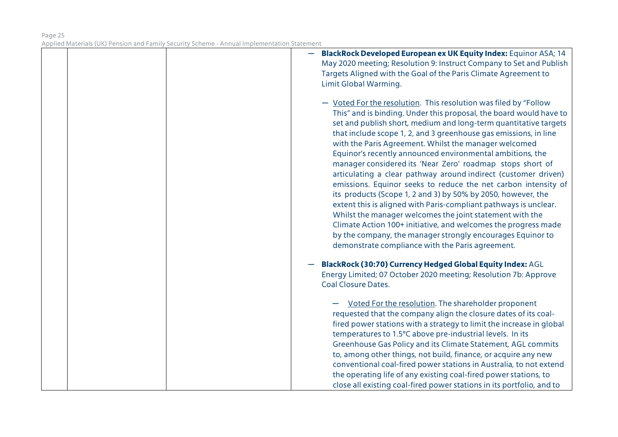|  | BlackRock Developed European ex UK Equity Index: Equinor ASA; 14<br>May 2020 meeting; Resolution 9: Instruct Company to Set and Publish                                                                                                                                                                                                                                                                                                                                                                                                                                                                                                                                                                                                                                                                                                                                                                                                                                                   |
|--|-------------------------------------------------------------------------------------------------------------------------------------------------------------------------------------------------------------------------------------------------------------------------------------------------------------------------------------------------------------------------------------------------------------------------------------------------------------------------------------------------------------------------------------------------------------------------------------------------------------------------------------------------------------------------------------------------------------------------------------------------------------------------------------------------------------------------------------------------------------------------------------------------------------------------------------------------------------------------------------------|
|  | Targets Aligned with the Goal of the Paris Climate Agreement to                                                                                                                                                                                                                                                                                                                                                                                                                                                                                                                                                                                                                                                                                                                                                                                                                                                                                                                           |
|  | Limit Global Warming.                                                                                                                                                                                                                                                                                                                                                                                                                                                                                                                                                                                                                                                                                                                                                                                                                                                                                                                                                                     |
|  | - Voted For the resolution. This resolution was filed by "Follow<br>This" and is binding. Under this proposal, the board would have to<br>set and publish short, medium and long-term quantitative targets<br>that include scope 1, 2, and 3 greenhouse gas emissions, in line<br>with the Paris Agreement. Whilst the manager welcomed<br>Equinor's recently announced environmental ambitions, the<br>manager considered its 'Near Zero' roadmap stops short of<br>articulating a clear pathway around indirect (customer driven)<br>emissions. Equinor seeks to reduce the net carbon intensity of<br>its products (Scope 1, 2 and 3) by 50% by 2050, however, the<br>extent this is aligned with Paris-compliant pathways is unclear.<br>Whilst the manager welcomes the joint statement with the<br>Climate Action 100+ initiative, and welcomes the progress made<br>by the company, the manager strongly encourages Equinor to<br>demonstrate compliance with the Paris agreement. |
|  | BlackRock (30:70) Currency Hedged Global Equity Index: AGL<br>Energy Limited; 07 October 2020 meeting; Resolution 7b: Approve                                                                                                                                                                                                                                                                                                                                                                                                                                                                                                                                                                                                                                                                                                                                                                                                                                                             |
|  | <b>Coal Closure Dates.</b>                                                                                                                                                                                                                                                                                                                                                                                                                                                                                                                                                                                                                                                                                                                                                                                                                                                                                                                                                                |
|  | Voted For the resolution. The shareholder proponent<br>requested that the company align the closure dates of its coal-<br>fired power stations with a strategy to limit the increase in global<br>temperatures to 1.5°C above pre-industrial levels. In its<br>Greenhouse Gas Policy and its Climate Statement, AGL commits<br>to, among other things, not build, finance, or acquire any new<br>conventional coal-fired power stations in Australia, to not extend<br>the operating life of any existing coal-fired power stations, to<br>close all existing coal-fired power stations in its portfolio, and to                                                                                                                                                                                                                                                                                                                                                                          |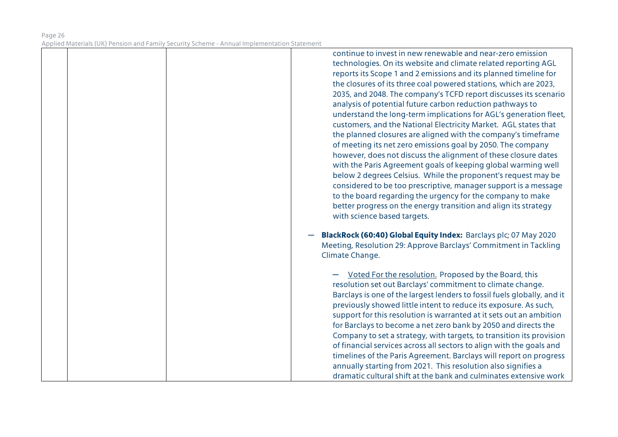|  | continue to invest in new renewable and near-zero emission<br>technologies. On its website and climate related reporting AGL<br>reports its Scope 1 and 2 emissions and its planned timeline for<br>the closures of its three coal powered stations, which are 2023,<br>2035, and 2048. The company's TCFD report discusses its scenario<br>analysis of potential future carbon reduction pathways to<br>understand the long-term implications for AGL's generation fleet,<br>customers, and the National Electricity Market. AGL states that<br>the planned closures are aligned with the company's timeframe<br>of meeting its net zero emissions goal by 2050. The company<br>however, does not discuss the alignment of these closure dates<br>with the Paris Agreement goals of keeping global warming well<br>below 2 degrees Celsius. While the proponent's request may be<br>considered to be too prescriptive, manager support is a message<br>to the board regarding the urgency for the company to make<br>better progress on the energy transition and align its strategy<br>with science based targets. |
|--|----------------------------------------------------------------------------------------------------------------------------------------------------------------------------------------------------------------------------------------------------------------------------------------------------------------------------------------------------------------------------------------------------------------------------------------------------------------------------------------------------------------------------------------------------------------------------------------------------------------------------------------------------------------------------------------------------------------------------------------------------------------------------------------------------------------------------------------------------------------------------------------------------------------------------------------------------------------------------------------------------------------------------------------------------------------------------------------------------------------------|
|  | BlackRock (60:40) Global Equity Index: Barclays plc; 07 May 2020<br>Meeting, Resolution 29: Approve Barclays' Commitment in Tackling<br>Climate Change.                                                                                                                                                                                                                                                                                                                                                                                                                                                                                                                                                                                                                                                                                                                                                                                                                                                                                                                                                              |
|  | <b>Voted For the resolution. Proposed by the Board, this</b><br>resolution set out Barclays' commitment to climate change.<br>Barclays is one of the largest lenders to fossil fuels globally, and it<br>previously showed little intent to reduce its exposure. As such,<br>support for this resolution is warranted at it sets out an ambition<br>for Barclays to become a net zero bank by 2050 and directs the<br>Company to set a strategy, with targets, to transition its provision<br>of financial services across all sectors to align with the goals and<br>timelines of the Paris Agreement. Barclays will report on progress<br>annually starting from 2021. This resolution also signifies a<br>dramatic cultural shift at the bank and culminates extensive work                                                                                                                                                                                                                                                                                                                                       |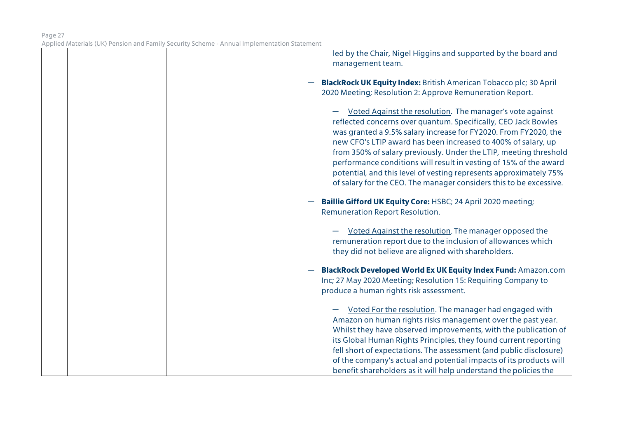|  | led by the Chair, Nigel Higgins and supported by the board and<br>management team.                                                                                                                                                                                                                                                                                                                                                                                                                                                                  |
|--|-----------------------------------------------------------------------------------------------------------------------------------------------------------------------------------------------------------------------------------------------------------------------------------------------------------------------------------------------------------------------------------------------------------------------------------------------------------------------------------------------------------------------------------------------------|
|  | <b>BlackRock UK Equity Index:</b> British American Tobacco plc; 30 April<br>2020 Meeting; Resolution 2: Approve Remuneration Report.                                                                                                                                                                                                                                                                                                                                                                                                                |
|  | Voted Against the resolution. The manager's vote against<br>reflected concerns over quantum. Specifically, CEO Jack Bowles<br>was granted a 9.5% salary increase for FY2020. From FY2020, the<br>new CFO's LTIP award has been increased to 400% of salary, up<br>from 350% of salary previously. Under the LTIP, meeting threshold<br>performance conditions will result in vesting of 15% of the award<br>potential, and this level of vesting represents approximately 75%<br>of salary for the CEO. The manager considers this to be excessive. |
|  | <b>Baillie Gifford UK Equity Core: HSBC; 24 April 2020 meeting;</b><br>Remuneration Report Resolution.                                                                                                                                                                                                                                                                                                                                                                                                                                              |
|  | Voted Against the resolution. The manager opposed the<br>remuneration report due to the inclusion of allowances which<br>they did not believe are aligned with shareholders.                                                                                                                                                                                                                                                                                                                                                                        |
|  | <b>BlackRock Developed World Ex UK Equity Index Fund: Amazon.com</b><br>Inc; 27 May 2020 Meeting; Resolution 15: Requiring Company to<br>produce a human rights risk assessment.                                                                                                                                                                                                                                                                                                                                                                    |
|  | Voted For the resolution. The manager had engaged with<br>Amazon on human rights risks management over the past year.<br>Whilst they have observed improvements, with the publication of<br>its Global Human Rights Principles, they found current reporting<br>fell short of expectations. The assessment (and public disclosure)<br>of the company's actual and potential impacts of its products will<br>benefit shareholders as it will help understand the policies the                                                                        |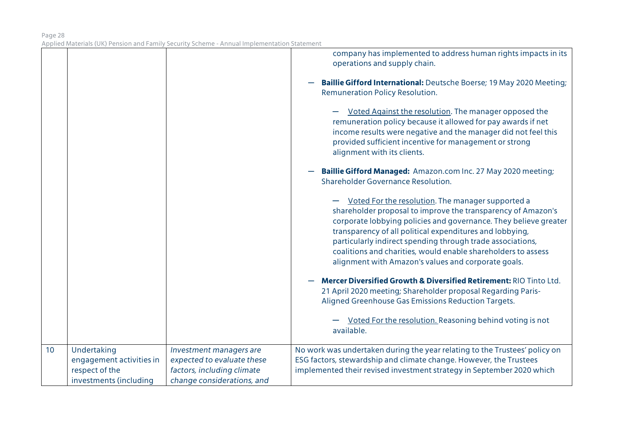|    |                                                                                     |                                                                                                                   | company has implemented to address human rights impacts in its<br>operations and supply chain.<br>Baillie Gifford International: Deutsche Boerse; 19 May 2020 Meeting;<br>Remuneration Policy Resolution.<br>Voted Against the resolution. The manager opposed the<br>remuneration policy because it allowed for pay awards if net<br>income results were negative and the manager did not feel this<br>provided sufficient incentive for management or strong<br>alignment with its clients.<br>Baillie Gifford Managed: Amazon.com Inc. 27 May 2020 meeting;<br>Shareholder Governance Resolution.<br>Voted For the resolution. The manager supported a<br>shareholder proposal to improve the transparency of Amazon's<br>corporate lobbying policies and governance. They believe greater<br>transparency of all political expenditures and lobbying,<br>particularly indirect spending through trade associations,<br>coalitions and charities, would enable shareholders to assess<br>alignment with Amazon's values and corporate goals.<br>Mercer Diversified Growth & Diversified Retirement: RIO Tinto Ltd.<br>21 April 2020 meeting; Shareholder proposal Regarding Paris-<br>Aligned Greenhouse Gas Emissions Reduction Targets.<br>Voted For the resolution. Reasoning behind voting is not<br>available. |
|----|-------------------------------------------------------------------------------------|-------------------------------------------------------------------------------------------------------------------|------------------------------------------------------------------------------------------------------------------------------------------------------------------------------------------------------------------------------------------------------------------------------------------------------------------------------------------------------------------------------------------------------------------------------------------------------------------------------------------------------------------------------------------------------------------------------------------------------------------------------------------------------------------------------------------------------------------------------------------------------------------------------------------------------------------------------------------------------------------------------------------------------------------------------------------------------------------------------------------------------------------------------------------------------------------------------------------------------------------------------------------------------------------------------------------------------------------------------------------------------------------------------------------------------------------------|
| 10 | Undertaking<br>engagement activities in<br>respect of the<br>investments (including | Investment managers are<br>expected to evaluate these<br>factors, including climate<br>change considerations, and | No work was undertaken during the year relating to the Trustees' policy on<br>ESG factors, stewardship and climate change. However, the Trustees<br>implemented their revised investment strategy in September 2020 which                                                                                                                                                                                                                                                                                                                                                                                                                                                                                                                                                                                                                                                                                                                                                                                                                                                                                                                                                                                                                                                                                              |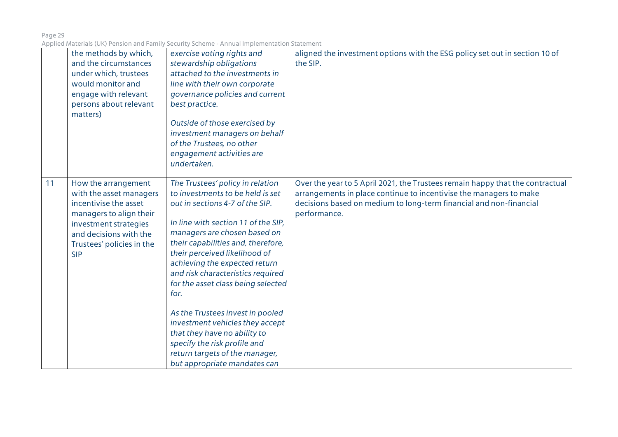|    | the methods by which,<br>and the circumstances<br>under which, trustees<br>would monitor and<br>engage with relevant<br>persons about relevant<br>matters)                                       | exercise voting rights and<br>stewardship obligations<br>attached to the investments in<br>line with their own corporate<br>governance policies and current<br>best practice.<br>Outside of those exercised by<br>investment managers on behalf<br>of the Trustees, no other<br>engagement activities are<br>undertaken.                                                                                                                                                                                                                                                           | aligned the investment options with the ESG policy set out in section 10 of<br>the SIP.                                                                                                                                                   |
|----|--------------------------------------------------------------------------------------------------------------------------------------------------------------------------------------------------|------------------------------------------------------------------------------------------------------------------------------------------------------------------------------------------------------------------------------------------------------------------------------------------------------------------------------------------------------------------------------------------------------------------------------------------------------------------------------------------------------------------------------------------------------------------------------------|-------------------------------------------------------------------------------------------------------------------------------------------------------------------------------------------------------------------------------------------|
| 11 | How the arrangement<br>with the asset managers<br>incentivise the asset<br>managers to align their<br>investment strategies<br>and decisions with the<br>Trustees' policies in the<br><b>SIP</b> | The Trustees' policy in relation<br>to investments to be held is set<br>out in sections 4-7 of the SIP.<br>In line with section 11 of the SIP,<br>managers are chosen based on<br>their capabilities and, therefore,<br>their perceived likelihood of<br>achieving the expected return<br>and risk characteristics required<br>for the asset class being selected<br>for.<br>As the Trustees invest in pooled<br>investment vehicles they accept<br>that they have no ability to<br>specify the risk profile and<br>return targets of the manager,<br>but appropriate mandates can | Over the year to 5 April 2021, the Trustees remain happy that the contractual<br>arrangements in place continue to incentivise the managers to make<br>decisions based on medium to long-term financial and non-financial<br>performance. |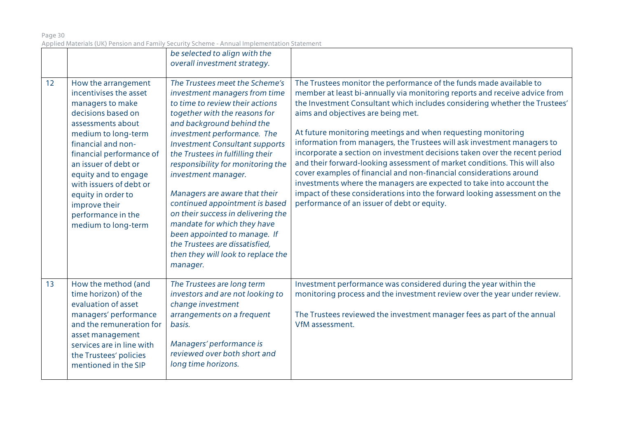| Page 30                                                                                     |  |
|---------------------------------------------------------------------------------------------|--|
| Applied Materials (UK) Pension and Family Security Scheme - Annual Implementation Statement |  |

|    |                                                                                                                                                                                                                                                                                                                                                      | be selected to align with the                                                                                                                                                                                                                                                                                                                                                                                                                                                                                                                                                                        |                                                                                                                                                                                                                                                                                                                                                                                                                                                                                                                                                                                                                                                                                                                                                                                                                                                        |
|----|------------------------------------------------------------------------------------------------------------------------------------------------------------------------------------------------------------------------------------------------------------------------------------------------------------------------------------------------------|------------------------------------------------------------------------------------------------------------------------------------------------------------------------------------------------------------------------------------------------------------------------------------------------------------------------------------------------------------------------------------------------------------------------------------------------------------------------------------------------------------------------------------------------------------------------------------------------------|--------------------------------------------------------------------------------------------------------------------------------------------------------------------------------------------------------------------------------------------------------------------------------------------------------------------------------------------------------------------------------------------------------------------------------------------------------------------------------------------------------------------------------------------------------------------------------------------------------------------------------------------------------------------------------------------------------------------------------------------------------------------------------------------------------------------------------------------------------|
|    |                                                                                                                                                                                                                                                                                                                                                      | overall investment strategy.                                                                                                                                                                                                                                                                                                                                                                                                                                                                                                                                                                         |                                                                                                                                                                                                                                                                                                                                                                                                                                                                                                                                                                                                                                                                                                                                                                                                                                                        |
|    |                                                                                                                                                                                                                                                                                                                                                      |                                                                                                                                                                                                                                                                                                                                                                                                                                                                                                                                                                                                      |                                                                                                                                                                                                                                                                                                                                                                                                                                                                                                                                                                                                                                                                                                                                                                                                                                                        |
| 12 | How the arrangement<br>incentivises the asset<br>managers to make<br>decisions based on<br>assessments about<br>medium to long-term<br>financial and non-<br>financial performance of<br>an issuer of debt or<br>equity and to engage<br>with issuers of debt or<br>equity in order to<br>improve their<br>performance in the<br>medium to long-term | The Trustees meet the Scheme's<br>investment managers from time<br>to time to review their actions<br>together with the reasons for<br>and background behind the<br>investment performance. The<br><b>Investment Consultant supports</b><br>the Trustees in fulfilling their<br>responsibility for monitoring the<br>investment manager.<br>Managers are aware that their<br>continued appointment is based<br>on their success in delivering the<br>mandate for which they have<br>been appointed to manage. If<br>the Trustees are dissatisfied,<br>then they will look to replace the<br>manager. | The Trustees monitor the performance of the funds made available to<br>member at least bi-annually via monitoring reports and receive advice from<br>the Investment Consultant which includes considering whether the Trustees'<br>aims and objectives are being met.<br>At future monitoring meetings and when requesting monitoring<br>information from managers, the Trustees will ask investment managers to<br>incorporate a section on investment decisions taken over the recent period<br>and their forward-looking assessment of market conditions. This will also<br>cover examples of financial and non-financial considerations around<br>investments where the managers are expected to take into account the<br>impact of these considerations into the forward looking assessment on the<br>performance of an issuer of debt or equity. |
| 13 | How the method (and<br>time horizon) of the<br>evaluation of asset<br>managers' performance<br>and the remuneration for<br>asset management<br>services are in line with<br>the Trustees' policies<br>mentioned in the SIP                                                                                                                           | The Trustees are long term<br>investors and are not looking to<br>change investment<br>arrangements on a frequent<br>basis.<br>Managers' performance is<br>reviewed over both short and<br>long time horizons.                                                                                                                                                                                                                                                                                                                                                                                       | Investment performance was considered during the year within the<br>monitoring process and the investment review over the year under review.<br>The Trustees reviewed the investment manager fees as part of the annual<br>VfM assessment.                                                                                                                                                                                                                                                                                                                                                                                                                                                                                                                                                                                                             |